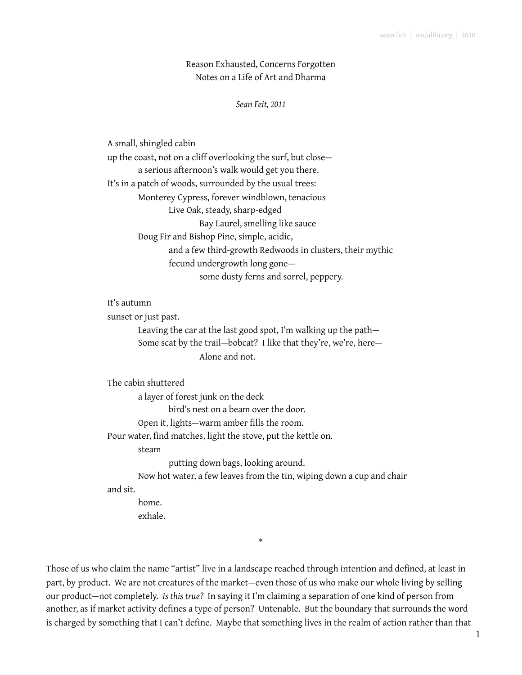### Reason Exhausted, Concerns Forgotten Notes on a Life of Art and Dharma

#### *Sean Feit, 2011*

A small, shingled cabin

up the coast, not on a cliff overlooking the surf, but close a serious afternoon's walk would get you there. It's in a patch of woods, surrounded by the usual trees: Monterey Cypress, forever windblown, tenacious Live Oak, steady, sharp-edged Bay Laurel, smelling like sauce Doug Fir and Bishop Pine, simple, acidic, and a few third-growth Redwoods in clusters, their mythic fecund undergrowth long gone some dusty ferns and sorrel, peppery.

It's autumn sunset or just past. Leaving the car at the last good spot, I'm walking up the path— Some scat by the trail—bobcat? I like that they're, we're, here— Alone and not.

The cabin shuttered a layer of forest junk on the deck bird's nest on a beam over the door. Open it, lights—warm amber fills the room. Pour water, find matches, light the stove, put the kettle on. steam putting down bags, looking around. Now hot water, a few leaves from the tin, wiping down a cup and chair and sit. home.

exhale.

Those of us who claim the name "artist" live in a landscape reached through intention and defined, at least in part, by product. We are not creatures of the market—even those of us who make our whole living by selling our product—not completely. *Is this true?* In saying it I'm claiming a separation of one kind of person from another, as if market activity defines a type of person? Untenable. But the boundary that surrounds the word is charged by something that I can't define. Maybe that something lives in the realm of action rather than that

\*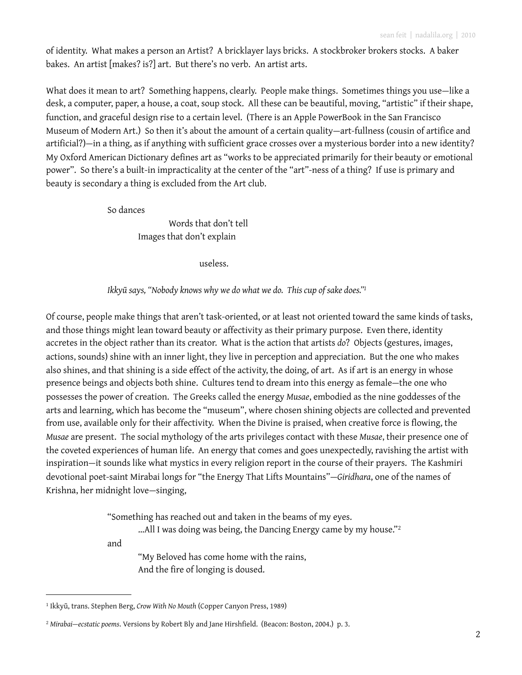of identity. What makes a person an Artist? A bricklayer lays bricks. A stockbroker brokers stocks. A baker bakes. An artist [makes? is?] art. But there's no verb. An artist arts.

What does it mean to art? Something happens, clearly. People make things. Sometimes things you use—like a desk, a computer, paper, a house, a coat, soup stock. All these can be beautiful, moving, "artistic" if their shape, function, and graceful design rise to a certain level. (There is an Apple PowerBook in the San Francisco Museum of Modern Art.) So then it's about the amount of a certain quality—art-fullness (cousin of artifice and artificial?)—in a thing, as if anything with sufficient grace crosses over a mysterious border into a new identity? My Oxford American Dictionary defines art as "works to be appreciated primarily for their beauty or emotional power". So there's a built-in impracticality at the center of the "art"-ness of a thing? If use is primary and beauty is secondary a thing is excluded from the Art club.

So dances

 Words that don't tell Images that don't explain

useless.

*Ikkyū says, "Nobody knows why we do what we do. This cup of sake does.["1](#page-1-0)*

Of course, people make things that aren't task-oriented, or at least not oriented toward the same kinds of tasks, and those things might lean toward beauty or affectivity as their primary purpose. Even there, identity accretes in the object rather than its creator. What is the action that artists *do*? Objects (gestures, images, actions, sounds) shine with an inner light, they live in perception and appreciation. But the one who makes also shines, and that shining is a side effect of the activity, the doing, of art. As if art is an energy in whose presence beings and objects both shine. Cultures tend to dream into this energy as female—the one who possesses the power of creation. The Greeks called the energy *Musae*, embodied as the nine goddesses of the arts and learning, which has become the "museum", where chosen shining objects are collected and prevented from use, available only for their affectivity. When the Divine is praised, when creative force is flowing, the *Musae* are present. The social mythology of the arts privileges contact with these *Musae*, their presence one of the coveted experiences of human life. An energy that comes and goes unexpectedly, ravishing the artist with inspiration—it sounds like what mystics in every religion report in the course of their prayers. The Kashmiri devotional poet-saint Mirabai longs for "the Energy That Lifts Mountains"—*Giridhara*, one of the names of Krishna, her midnight love—singing,

"Something has reached out and taken in the beams of my eyes.

…All I was doing was being, the Dancing Energy came by my house."[2](#page-1-1)

and

 "My Beloved has come home with the rains, And the fire of longing is doused.

<span id="page-1-0"></span><sup>1</sup> Ikkyū, trans. Stephen Berg, *Crow With No Mouth* (Copper Canyon Press, 1989)

<span id="page-1-1"></span><sup>2</sup> *Mirabai—ecstatic poems*. Versions by Robert Bly and Jane Hirshfield. (Beacon: Boston, 2004.) p. 3.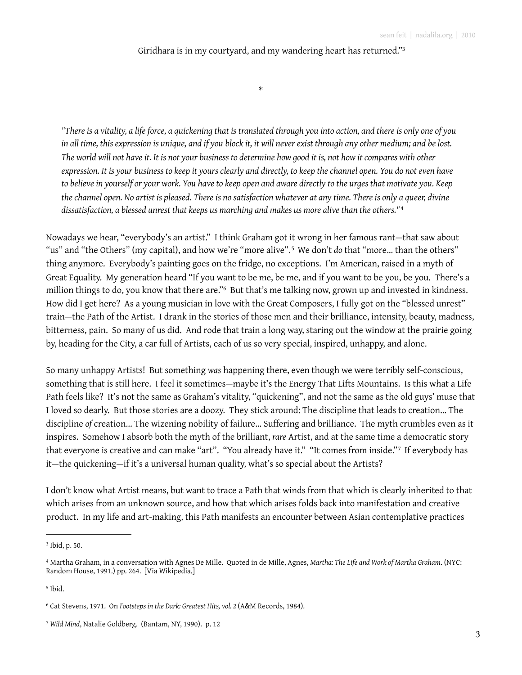#### Giridhara is in my courtyard, and my wandering heart has returned."<sup>3</sup>

*"There is a vitality, a life force, a quickening that is translated through you into action, and there is only one of you in all time, this expression is unique, and if you block it, it will never exist through any other medium; and be lost. The world will not have it. It is not your business to determine how good it is, not how it compares with other expression. It is your business to keep it yours clearly and directly, to keep the channel open. You do not even have to believe in yourself or your work. You have to keep open and aware directly to the urges that motivate you. Keep the channel open. No artist is pleased. There is no satisfaction whatever at any time. There is only a queer, divine dissatisfaction, a blessed unrest that keeps us marching and makes us more alive than the others."*[4](#page-2-1)

\*

Nowadays we hear, "everybody's an artist." I think Graham got it wrong in her famous rant—that saw about "us" and "the Others" (my capital), and how we're "more alive". [5](#page-2-2) We don't *do* that "more… than the others" thing anymore. Everybody's painting goes on the fridge, no exceptions. I'm American, raised in a myth of Great Equality. My generation heard "If you want to be me, be me, and if you want to be you, be you. There's a million things to do, you know that there are."[6](#page-2-3) But that's me talking now, grown up and invested in kindness. How did I get here? As a young musician in love with the Great Composers, I fully got on the "blessed unrest" train—the Path of the Artist. I drank in the stories of those men and their brilliance, intensity, beauty, madness, bitterness, pain. So many of us did. And rode that train a long way, staring out the window at the prairie going by, heading for the City, a car full of Artists, each of us so very special, inspired, unhappy, and alone.

So many unhappy Artists! But something *was* happening there, even though we were terribly self-conscious, something that is still here. I feel it sometimes—maybe it's the Energy That Lifts Mountains. Is this what a Life Path feels like? It's not the same as Graham's vitality, "quickening", and not the same as the old guys' muse that I loved so dearly. But those stories are a doozy. They stick around: The discipline that leads to creation… The discipline *of* creation... The wizening nobility of failure… Suffering and brilliance. The myth crumbles even as it inspires. Somehow I absorb both the myth of the brilliant, *rare* Artist, and at the same time a democratic story that everyone is creative and can make "art". "You already have it." "It comes from inside."[7](#page-2-4) If everybody has it—the quickening—if it's a universal human quality, what's so special about the Artists?

I don't know what Artist means, but want to trace a Path that winds from that which is clearly inherited to that which arises from an unknown source, and how that which arises folds back into manifestation and creative product. In my life and art-making, this Path manifests an encounter between Asian contemplative practices

<span id="page-2-0"></span><sup>3</sup> Ibid, p. 50.

<span id="page-2-1"></span><sup>4</sup> Martha Graham, in a conversation with Agnes De Mille. Quoted in de Mille, Agnes, *Martha: The Life and Work of Martha Graham*. (NYC: Random House, 1991.) pp. 264. [Via Wikipedia.]

<span id="page-2-2"></span><sup>5</sup> Ibid.

<span id="page-2-3"></span><sup>6</sup> Cat Stevens, 1971. On *Footsteps in the Dark: Greatest Hits, vol. 2* (A&M Records, 1984).

<span id="page-2-4"></span><sup>7</sup> *Wild Mind*, Natalie Goldberg. (Bantam, NY, 1990). p. 12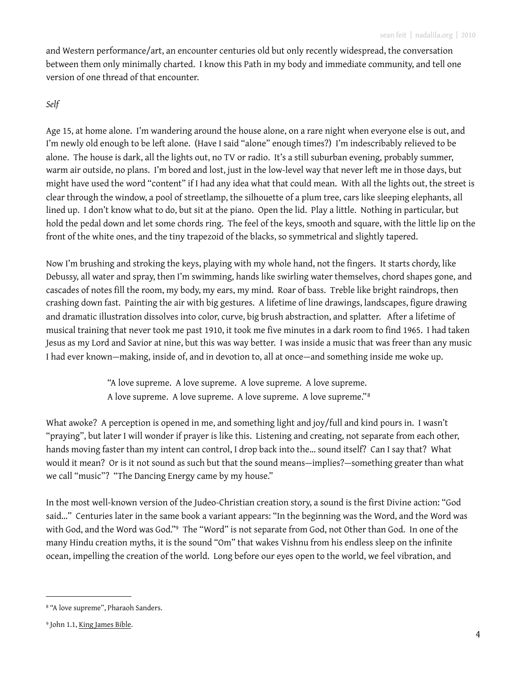and Western performance/art, an encounter centuries old but only recently widespread, the conversation between them only minimally charted. I know this Path in my body and immediate community, and tell one version of one thread of that encounter.

## *Self*

Age 15, at home alone. I'm wandering around the house alone, on a rare night when everyone else is out, and I'm newly old enough to be left alone. (Have I said "alone" enough times?) I'm indescribably relieved to be alone. The house is dark, all the lights out, no TV or radio. It's a still suburban evening, probably summer, warm air outside, no plans. I'm bored and lost, just in the low-level way that never left me in those days, but might have used the word "content" if I had any idea what that could mean. With all the lights out, the street is clear through the window, a pool of streetlamp, the silhouette of a plum tree, cars like sleeping elephants, all lined up. I don't know what to do, but sit at the piano. Open the lid. Play a little. Nothing in particular, but hold the pedal down and let some chords ring. The feel of the keys, smooth and square, with the little lip on the front of the white ones, and the tiny trapezoid of the blacks, so symmetrical and slightly tapered.

Now I'm brushing and stroking the keys, playing with my whole hand, not the fingers. It starts chordy, like Debussy, all water and spray, then I'm swimming, hands like swirling water themselves, chord shapes gone, and cascades of notes fill the room, my body, my ears, my mind. Roar of bass. Treble like bright raindrops, then crashing down fast. Painting the air with big gestures. A lifetime of line drawings, landscapes, figure drawing and dramatic illustration dissolves into color, curve, big brush abstraction, and splatter. After a lifetime of musical training that never took me past 1910, it took me five minutes in a dark room to find 1965. I had taken Jesus as my Lord and Savior at nine, but this was way better. I was inside a music that was freer than any music I had ever known—making, inside of, and in devotion to, all at once—and something inside me woke up.

> "A love supreme. A love supreme. A love supreme. A love supreme. A love supreme. A love supreme. A love supreme. A love supreme."[8](#page-3-0)

What awoke? A perception is opened in me, and something light and joy/full and kind pours in. I wasn't "praying", but later I will wonder if prayer is like this. Listening and creating, not separate from each other, hands moving faster than my intent can control, I drop back into the… sound itself? Can I say that? What would it mean? Or is it not sound as such but that the sound means—implies?—something greater than what we call "music"? "The Dancing Energy came by my house."

In the most well-known version of the Judeo-Christian creation story, a sound is the first Divine action: "God said…" Centuries later in the same book a variant appears: "In the beginning was the Word, and the Word was with God, and the Word was God.["9](#page-3-1) The "Word" is not separate from God, not Other than God. In one of the many Hindu creation myths, it is the sound "Om" that wakes Vishnu from his endless sleep on the infinite ocean, impelling the creation of the world. Long before our eyes open to the world, we feel vibration, and

<span id="page-3-0"></span><sup>8 &</sup>quot;A love supreme", Pharaoh Sanders.

<span id="page-3-1"></span><sup>&</sup>lt;sup>9</sup> John 1.1, King James Bible.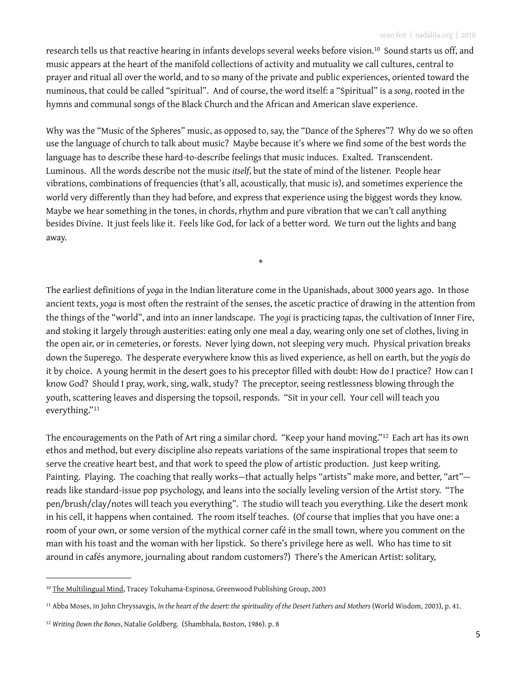research tells us that reactive hearing in infants develops several weeks before vision.[10](#page-4-0) Sound starts us off, and music appears at the heart of the manifold collections of activity and mutuality we call cultures, central to prayer and ritual all over the world, and to so many of the private and public experiences, oriented toward the numinous, that could be called "spiritual". And of course, the word itself: a "Spiritual" is a *song*, rooted in the hymns and communal songs of the Black Church and the African and American slave experience.

Why was the "Music of the Spheres" music, as opposed to, say, the "Dance of the Spheres"? Why do we so often use the language of church to talk about music? Maybe because it's where we find some of the best words the language has to describe these hard-to-describe feelings that music induces. Exalted. Transcendent. Luminous. All the words describe not the music *itself*, but the state of mind of the listener. People hear vibrations, combinations of frequencies (that's all, acoustically, that music is), and sometimes experience the world very differently than they had before, and express that experience using the biggest words they know. Maybe we hear something in the tones, in chords, rhythm and pure vibration that we can't call anything besides Divine. It just feels like it. Feels like God, for lack of a better word. We turn out the lights and bang away.

\*

The earliest definitions of *yoga* in the Indian literature come in the Upanishads, about 3000 years ago. In those ancient texts, *yoga* is most often the restraint of the senses, the ascetic practice of drawing in the attention from the things of the "world", and into an inner landscape. The *yogi* is practicing *tapas*, the cultivation of Inner Fire, and stoking it largely through austerities: eating only one meal a day, wearing only one set of clothes, living in the open air, or in cemeteries, or forests. Never lying down, not sleeping very much. Physical privation breaks down the Superego. The desperate everywhere know this as lived experience, as hell on earth, but the *yogis* do it by choice. A young hermit in the desert goes to his preceptor filled with doubt: How do I practice? How can I know God? Should I pray, work, sing, walk, study? The preceptor, seeing restlessness blowing through the youth, scattering leaves and dispersing the topsoil, responds. "Sit in your cell. Your cell will teach you everything."[11](#page-4-1)

The encouragements on the Path of Art ring a similar chord. "Keep your hand moving."[12](#page-4-2) Each art has its own ethos and method, but every discipline also repeats variations of the same inspirational tropes that seem to serve the creative heart best, and that work to speed the plow of artistic production. Just keep writing. Painting. Playing. The coaching that really works—that actually helps "artists" make more, and better, "art" reads like standard-issue pop psychology, and leans into the socially leveling version of the Artist story. "The pen/brush/clay/notes will teach you everything". The studio will teach you everything. Like the desert monk in his cell, it happens when contained. The room itself teaches. (Of course that implies that you have one: a room of your own, or some version of the mythical corner café in the small town, where you comment on the man with his toast and the woman with her lipstick. So there's privilege here as well. Who has time to sit around in cafés anymore, journaling about random customers?) There's the American Artist: solitary,

<span id="page-4-0"></span><sup>&</sup>lt;sup>10</sup> The Multilingual Mind, Tracey Tokuhama-Espinosa, Greenwood Publishing Group, 2003

<span id="page-4-1"></span><sup>11</sup> Abba Moses, in John Chryssavgis, *In the heart of the desert: the spirituality of the Desert Fathers and Mothers* (World Wisdom, 2003), p. 41.

<span id="page-4-2"></span><sup>12</sup> *Writing Down the Bones*, Natalie Goldberg. (Shambhala, Boston, 1986). p. 8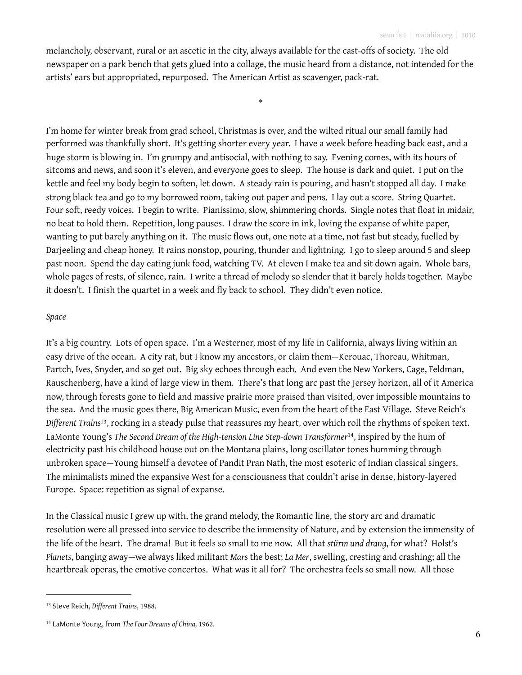melancholy, observant, rural or an ascetic in the city, always available for the cast-offs of society. The old newspaper on a park bench that gets glued into a collage, the music heard from a distance, not intended for the artists' ears but appropriated, repurposed. The American Artist as scavenger, pack-rat.

\*

I'm home for winter break from grad school, Christmas is over, and the wilted ritual our small family had performed was thankfully short. It's getting shorter every year. I have a week before heading back east, and a huge storm is blowing in. I'm grumpy and antisocial, with nothing to say. Evening comes, with its hours of sitcoms and news, and soon it's eleven, and everyone goes to sleep. The house is dark and quiet. I put on the kettle and feel my body begin to soften, let down. A steady rain is pouring, and hasn't stopped all day. I make strong black tea and go to my borrowed room, taking out paper and pens. I lay out a score. String Quartet. Four soft, reedy voices. I begin to write. Pianissimo, slow, shimmering chords. Single notes that float in midair, no beat to hold them. Repetition, long pauses. I draw the score in ink, loving the expanse of white paper, wanting to put barely anything on it. The music flows out, one note at a time, not fast but steady, fuelled by Darjeeling and cheap honey. It rains nonstop, pouring, thunder and lightning. I go to sleep around 5 and sleep past noon. Spend the day eating junk food, watching TV. At eleven I make tea and sit down again. Whole bars, whole pages of rests, of silence, rain. I write a thread of melody so slender that it barely holds together. Maybe it doesn't. I finish the quartet in a week and fly back to school. They didn't even notice.

#### *Space*

It's a big country. Lots of open space. I'm a Westerner, most of my life in California, always living within an easy drive of the ocean. A city rat, but I know my ancestors, or claim them—Kerouac, Thoreau, Whitman, Partch, Ives, Snyder, and so get out. Big sky echoes through each. And even the New Yorkers, Cage, Feldman, Rauschenberg, have a kind of large view in them. There's that long arc past the Jersey horizon, all of it America now, through forests gone to field and massive prairie more praised than visited, over impossible mountains to the sea. And the music goes there, Big American Music, even from the heart of the East Village. Steve Reich's *Different Trains*[13](#page-5-0), rocking in a steady pulse that reassures my heart, over which roll the rhythms of spoken text. LaMonte Young's *The Second Dream of the High-tension Line Step-down Transformer*[14,](#page-5-1) inspired by the hum of electricity past his childhood house out on the Montana plains, long oscillator tones humming through unbroken space—Young himself a devotee of Pandit Pran Nath, the most esoteric of Indian classical singers. The minimalists mined the expansive West for a consciousness that couldn't arise in dense, history-layered Europe. Space: repetition as signal of expanse.

In the Classical music I grew up with, the grand melody, the Romantic line, the story arc and dramatic resolution were all pressed into service to describe the immensity of Nature, and by extension the immensity of the life of the heart. The drama! But it feels so small to me now. All that *stürm und drang*, for what? Holst's *Planets*, banging away—we always liked militant *Mars* the best; *La Mer*, swelling, cresting and crashing; all the heartbreak operas, the emotive concertos. What was it all for? The orchestra feels so small now. All those

<span id="page-5-0"></span><sup>13</sup> Steve Reich, *Different Trains*, 1988.

<span id="page-5-1"></span><sup>14</sup> LaMonte Young, from *The Four Dreams of China,* 1962.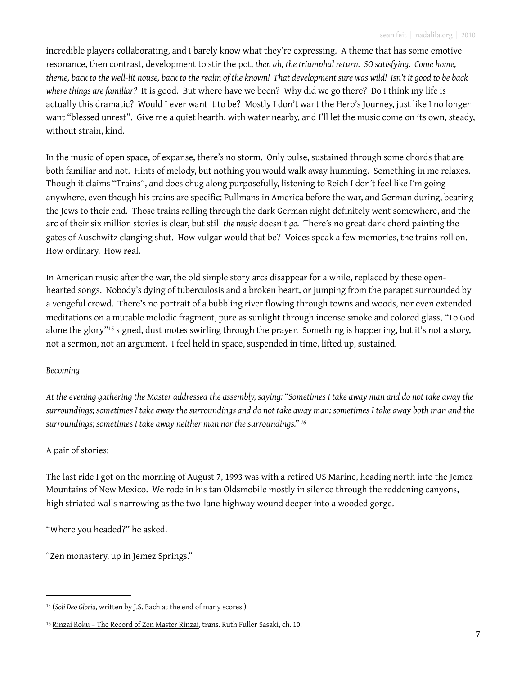incredible players collaborating, and I barely know what they're expressing. A theme that has some emotive resonance, then contrast, development to stir the pot, *then ah, the triumphal return. SO satisfying. Come home, theme, back to the well-lit house, back to the realm of the known! That development sure was wild! Isn't it good to be back where things are familiar?* It is good. But where have we been? Why did we go there? Do I think my life is actually this dramatic? Would I ever want it to be? Mostly I don't want the Hero's Journey, just like I no longer want "blessed unrest". Give me a quiet hearth, with water nearby, and I'll let the music come on its own, steady, without strain, kind.

In the music of open space, of expanse, there's no storm. Only pulse, sustained through some chords that are both familiar and not. Hints of melody, but nothing you would walk away humming. Something in me relaxes. Though it claims "Trains", and does chug along purposefully, listening to Reich I don't feel like I'm going anywhere, even though his trains are specific: Pullmans in America before the war, and German during, bearing the Jews to their end. Those trains rolling through the dark German night definitely went somewhere, and the arc of their six million stories is clear, but still *the music* doesn't *go.* There's no great dark chord painting the gates of Auschwitz clanging shut. How vulgar would that be? Voices speak a few memories, the trains roll on. How ordinary. How real.

In American music after the war, the old simple story arcs disappear for a while, replaced by these openhearted songs. Nobody's dying of tuberculosis and a broken heart, or jumping from the parapet surrounded by a vengeful crowd. There's no portrait of a bubbling river flowing through towns and woods, nor even extended meditations on a mutable melodic fragment, pure as sunlight through incense smoke and colored glass, "To God alone the glory"[15](#page-6-0) signed, dust motes swirling through the prayer. Something is happening, but it's not a story, not a sermon, not an argument. I feel held in space, suspended in time, lifted up, sustained.

## *Becoming*

*At the evening gathering the Master addressed the assembly, saying: "Sometimes I take away man and do not take away the surroundings; sometimes I take away the surroundings and do not take away man; sometimes I take away both man and the surroundings; sometimes I take away neither man nor the surroundings." [16](#page-6-1)*

# A pair of stories:

The last ride I got on the morning of August 7, 1993 was with a retired US Marine, heading north into the Jemez Mountains of New Mexico. We rode in his tan Oldsmobile mostly in silence through the reddening canyons, high striated walls narrowing as the two-lane highway wound deeper into a wooded gorge.

"Where you headed?" he asked.

"Zen monastery, up in Jemez Springs."

<span id="page-6-0"></span><sup>15 (</sup>*Soli Deo Gloria,* written by J.S. Bach at the end of many scores.)

<span id="page-6-1"></span><sup>16</sup> Rinzai Roku – The Record of Zen Master Rinzai, trans. Ruth Fuller Sasaki, ch. 10.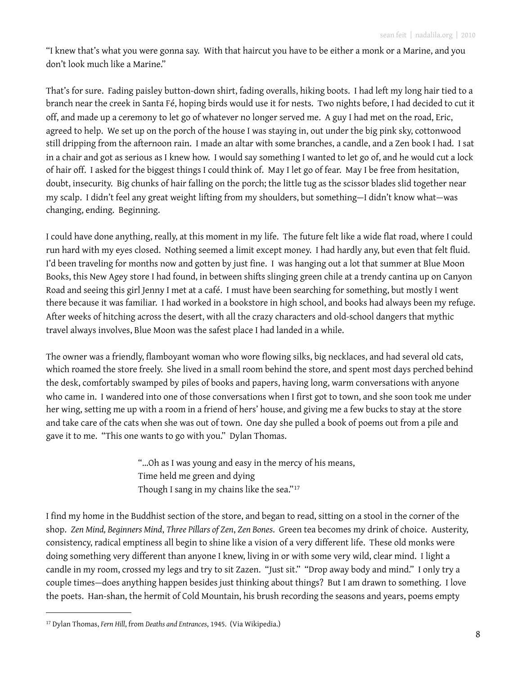"I knew that's what you were gonna say. With that haircut you have to be either a monk or a Marine, and you don't look much like a Marine."

That's for sure. Fading paisley button-down shirt, fading overalls, hiking boots. I had left my long hair tied to a branch near the creek in Santa Fé, hoping birds would use it for nests. Two nights before, I had decided to cut it off, and made up a ceremony to let go of whatever no longer served me. A guy I had met on the road, Eric, agreed to help. We set up on the porch of the house I was staying in, out under the big pink sky, cottonwood still dripping from the afternoon rain. I made an altar with some branches, a candle, and a Zen book I had. I sat in a chair and got as serious as I knew how. I would say something I wanted to let go of, and he would cut a lock of hair off. I asked for the biggest things I could think of. May I let go of fear. May I be free from hesitation, doubt, insecurity. Big chunks of hair falling on the porch; the little tug as the scissor blades slid together near my scalp. I didn't feel any great weight lifting from my shoulders, but something—I didn't know what—was changing, ending. Beginning.

I could have done anything, really, at this moment in my life. The future felt like a wide flat road, where I could run hard with my eyes closed. Nothing seemed a limit except money. I had hardly any, but even that felt fluid. I'd been traveling for months now and gotten by just fine. I was hanging out a lot that summer at Blue Moon Books, this New Agey store I had found, in between shifts slinging green chile at a trendy cantina up on Canyon Road and seeing this girl Jenny I met at a café. I must have been searching for something, but mostly I went there because it was familiar. I had worked in a bookstore in high school, and books had always been my refuge. After weeks of hitching across the desert, with all the crazy characters and old-school dangers that mythic travel always involves, Blue Moon was the safest place I had landed in a while.

The owner was a friendly, flamboyant woman who wore flowing silks, big necklaces, and had several old cats, which roamed the store freely. She lived in a small room behind the store, and spent most days perched behind the desk, comfortably swamped by piles of books and papers, having long, warm conversations with anyone who came in. I wandered into one of those conversations when I first got to town, and she soon took me under her wing, setting me up with a room in a friend of hers' house, and giving me a few bucks to stay at the store and take care of the cats when she was out of town. One day she pulled a book of poems out from a pile and gave it to me. "This one wants to go with you." Dylan Thomas.

> "…Oh as I was young and easy in the mercy of his means, Time held me green and dying Though I sang in my chains like the sea."<sup>[17](#page-7-0)</sup>

I find my home in the Buddhist section of the store, and began to read, sitting on a stool in the corner of the shop. *Zen Mind, Beginners Mind*, *Three Pillars of Zen*, *Zen Bones*. Green tea becomes my drink of choice. Austerity, consistency, radical emptiness all begin to shine like a vision of a very different life. These old monks were doing something very different than anyone I knew, living in or with some very wild, clear mind. I light a candle in my room, crossed my legs and try to sit Zazen. "Just sit." "Drop away body and mind." I only try a couple times—does anything happen besides just thinking about things? But I am drawn to something. I love the poets. Han-shan, the hermit of Cold Mountain, his brush recording the seasons and years, poems empty

<span id="page-7-0"></span><sup>17</sup> Dylan Thomas, *Fern Hill*, from *Deaths and Entrances*, 1945. (Via Wikipedia.)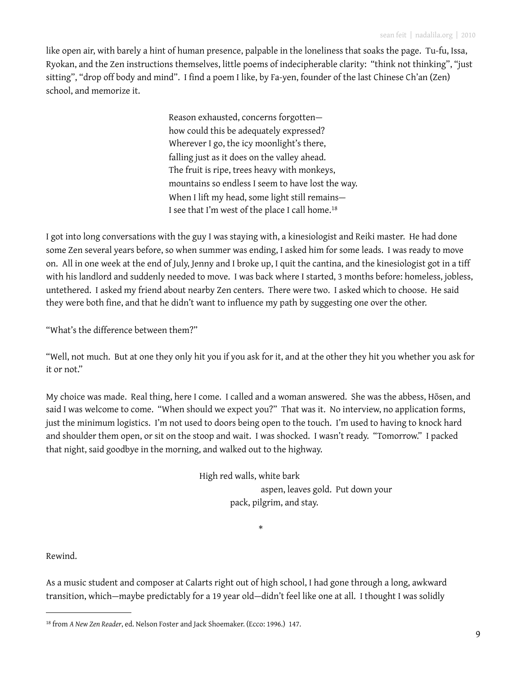like open air, with barely a hint of human presence, palpable in the loneliness that soaks the page. Tu-fu, Issa, Ryokan, and the Zen instructions themselves, little poems of indecipherable clarity: "think not thinking", "just sitting", "drop off body and mind". I find a poem I like, by Fa-yen, founder of the last Chinese Ch'an (Zen) school, and memorize it.

> Reason exhausted, concerns forgotten how could this be adequately expressed? Wherever I go, the icy moonlight's there, falling just as it does on the valley ahead. The fruit is ripe, trees heavy with monkeys, mountains so endless I seem to have lost the way. When I lift my head, some light still remains— I see that I'm west of the place I call home.<sup>[18](#page-8-0)</sup>

I got into long conversations with the guy I was staying with, a kinesiologist and Reiki master. He had done some Zen several years before, so when summer was ending, I asked him for some leads. I was ready to move on. All in one week at the end of July, Jenny and I broke up, I quit the cantina, and the kinesiologist got in a tiff with his landlord and suddenly needed to move. I was back where I started, 3 months before: homeless, jobless, untethered. I asked my friend about nearby Zen centers. There were two. I asked which to choose. He said they were both fine, and that he didn't want to influence my path by suggesting one over the other.

"What's the difference between them?"

"Well, not much. But at one they only hit you if you ask for it, and at the other they hit you whether you ask for it or not."

My choice was made. Real thing, here I come. I called and a woman answered. She was the abbess, Hōsen, and said I was welcome to come. "When should we expect you?" That was it. No interview, no application forms, just the minimum logistics. I'm not used to doors being open to the touch. I'm used to having to knock hard and shoulder them open, or sit on the stoop and wait. I was shocked. I wasn't ready. "Tomorrow." I packed that night, said goodbye in the morning, and walked out to the highway.

\*

High red walls, white bark aspen, leaves gold. Put down your pack, pilgrim, and stay.

Rewind.

As a music student and composer at Calarts right out of high school, I had gone through a long, awkward transition, which—maybe predictably for a 19 year old—didn't feel like one at all. I thought I was solidly

<span id="page-8-0"></span><sup>18</sup> from *A New Zen Reader*, ed. Nelson Foster and Jack Shoemaker. (Ecco: 1996.) 147.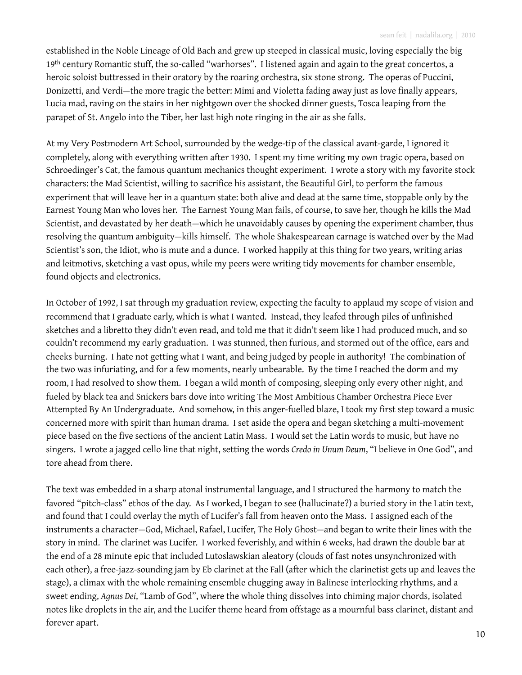established in the Noble Lineage of Old Bach and grew up steeped in classical music, loving especially the big 19<sup>th</sup> century Romantic stuff, the so-called "warhorses". I listened again and again to the great concertos, a heroic soloist buttressed in their oratory by the roaring orchestra, six stone strong. The operas of Puccini, Donizetti, and Verdi—the more tragic the better: Mimi and Violetta fading away just as love finally appears, Lucia mad, raving on the stairs in her nightgown over the shocked dinner guests, Tosca leaping from the parapet of St. Angelo into the Tiber, her last high note ringing in the air as she falls.

At my Very Postmodern Art School, surrounded by the wedge-tip of the classical avant-garde, I ignored it completely, along with everything written after 1930. I spent my time writing my own tragic opera, based on Schroedinger's Cat, the famous quantum mechanics thought experiment. I wrote a story with my favorite stock characters: the Mad Scientist, willing to sacrifice his assistant, the Beautiful Girl, to perform the famous experiment that will leave her in a quantum state: both alive and dead at the same time, stoppable only by the Earnest Young Man who loves her. The Earnest Young Man fails, of course, to save her, though he kills the Mad Scientist, and devastated by her death—which he unavoidably causes by opening the experiment chamber, thus resolving the quantum ambiguity—kills himself. The whole Shakespearean carnage is watched over by the Mad Scientist's son, the Idiot, who is mute and a dunce. I worked happily at this thing for two years, writing arias and leitmotivs, sketching a vast opus, while my peers were writing tidy movements for chamber ensemble, found objects and electronics.

In October of 1992, I sat through my graduation review, expecting the faculty to applaud my scope of vision and recommend that I graduate early, which is what I wanted. Instead, they leafed through piles of unfinished sketches and a libretto they didn't even read, and told me that it didn't seem like I had produced much, and so couldn't recommend my early graduation. I was stunned, then furious, and stormed out of the office, ears and cheeks burning. I hate not getting what I want, and being judged by people in authority! The combination of the two was infuriating, and for a few moments, nearly unbearable. By the time I reached the dorm and my room, I had resolved to show them. I began a wild month of composing, sleeping only every other night, and fueled by black tea and Snickers bars dove into writing The Most Ambitious Chamber Orchestra Piece Ever Attempted By An Undergraduate. And somehow, in this anger-fuelled blaze, I took my first step toward a music concerned more with spirit than human drama. I set aside the opera and began sketching a multi-movement piece based on the five sections of the ancient Latin Mass. I would set the Latin words to music, but have no singers. I wrote a jagged cello line that night, setting the words *Credo in Unum Deum*, "I believe in One God", and tore ahead from there.

The text was embedded in a sharp atonal instrumental language, and I structured the harmony to match the favored "pitch-class" ethos of the day. As I worked, I began to see (hallucinate?) a buried story in the Latin text, and found that I could overlay the myth of Lucifer's fall from heaven onto the Mass. I assigned each of the instruments a character—God, Michael, Rafael, Lucifer, The Holy Ghost—and began to write their lines with the story in mind. The clarinet was Lucifer. I worked feverishly, and within 6 weeks, had drawn the double bar at the end of a 28 minute epic that included Lutoslawskian aleatory (clouds of fast notes unsynchronized with each other), a free-jazz-sounding jam by Eb clarinet at the Fall (after which the clarinetist gets up and leaves the stage), a climax with the whole remaining ensemble chugging away in Balinese interlocking rhythms, and a sweet ending, *Agnus Dei*, "Lamb of God", where the whole thing dissolves into chiming major chords, isolated notes like droplets in the air, and the Lucifer theme heard from offstage as a mournful bass clarinet, distant and forever apart.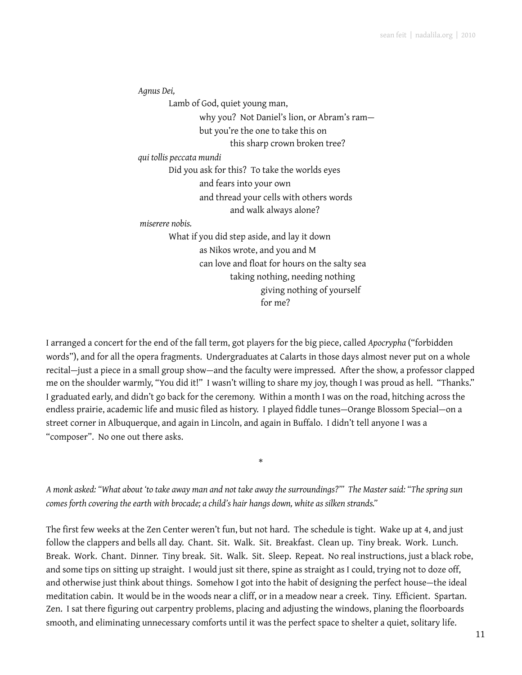*Agnus Dei,* Lamb of God, quiet young man, why you? Not Daniel's lion, or Abram's ram but you're the one to take this on this sharp crown broken tree? *qui tollis peccata mundi* Did you ask for this? To take the worlds eyes and fears into your own and thread your cells with others words and walk always alone?  *miserere nobis.* What if you did step aside, and lay it down as Nikos wrote, and you and M can love and float for hours on the salty sea taking nothing, needing nothing

giving nothing of yourself

for me?

I arranged a concert for the end of the fall term, got players for the big piece, called *Apocrypha* ("forbidden words"), and for all the opera fragments. Undergraduates at Calarts in those days almost never put on a whole recital—just a piece in a small group show—and the faculty were impressed. After the show, a professor clapped me on the shoulder warmly, "You did it!" I wasn't willing to share my joy, though I was proud as hell. "Thanks." I graduated early, and didn't go back for the ceremony. Within a month I was on the road, hitching across the endless prairie, academic life and music filed as history. I played fiddle tunes—Orange Blossom Special—on a street corner in Albuquerque, and again in Lincoln, and again in Buffalo. I didn't tell anyone I was a "composer". No one out there asks.

*A monk asked: "What about 'to take away man and not take away the surroundings?'" The Master said: "The spring sun comes forth covering the earth with brocade; a child's hair hangs down, white as silken strands."*

\*

The first few weeks at the Zen Center weren't fun, but not hard. The schedule is tight. Wake up at 4, and just follow the clappers and bells all day. Chant. Sit. Walk. Sit. Breakfast. Clean up. Tiny break. Work. Lunch. Break. Work. Chant. Dinner. Tiny break. Sit. Walk. Sit. Sleep. Repeat. No real instructions, just a black robe, and some tips on sitting up straight. I would just sit there, spine as straight as I could, trying not to doze off, and otherwise just think about things. Somehow I got into the habit of designing the perfect house—the ideal meditation cabin. It would be in the woods near a cliff, or in a meadow near a creek. Tiny. Efficient. Spartan. Zen. I sat there figuring out carpentry problems, placing and adjusting the windows, planing the floorboards smooth, and eliminating unnecessary comforts until it was the perfect space to shelter a quiet, solitary life.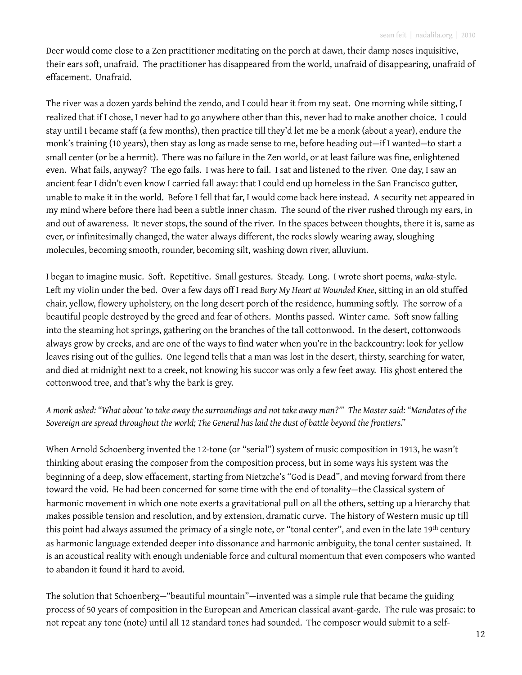Deer would come close to a Zen practitioner meditating on the porch at dawn, their damp noses inquisitive, their ears soft, unafraid. The practitioner has disappeared from the world, unafraid of disappearing, unafraid of effacement. Unafraid.

The river was a dozen yards behind the zendo, and I could hear it from my seat. One morning while sitting, I realized that if I chose, I never had to go anywhere other than this, never had to make another choice. I could stay until I became staff (a few months), then practice till they'd let me be a monk (about a year), endure the monk's training (10 years), then stay as long as made sense to me, before heading out—if I wanted—to start a small center (or be a hermit). There was no failure in the Zen world, or at least failure was fine, enlightened even. What fails, anyway? The ego fails. I was here to fail. I sat and listened to the river. One day, I saw an ancient fear I didn't even know I carried fall away: that I could end up homeless in the San Francisco gutter, unable to make it in the world. Before I fell that far, I would come back here instead. A security net appeared in my mind where before there had been a subtle inner chasm. The sound of the river rushed through my ears, in and out of awareness. It never stops, the sound of the river. In the spaces between thoughts, there it is, same as ever, or infinitesimally changed, the water always different, the rocks slowly wearing away, sloughing molecules, becoming smooth, rounder, becoming silt, washing down river, alluvium.

I began to imagine music. Soft. Repetitive. Small gestures. Steady. Long. I wrote short poems, *waka*-style. Left my violin under the bed. Over a few days off I read *Bury My Heart at Wounded Knee*, sitting in an old stuffed chair, yellow, flowery upholstery, on the long desert porch of the residence, humming softly. The sorrow of a beautiful people destroyed by the greed and fear of others. Months passed. Winter came. Soft snow falling into the steaming hot springs, gathering on the branches of the tall cottonwood. In the desert, cottonwoods always grow by creeks, and are one of the ways to find water when you're in the backcountry: look for yellow leaves rising out of the gullies. One legend tells that a man was lost in the desert, thirsty, searching for water, and died at midnight next to a creek, not knowing his succor was only a few feet away. His ghost entered the cottonwood tree, and that's why the bark is grey.

# *A monk asked: "What about 'to take away the surroundings and not take away man?'" The Master said: "Mandates of the Sovereign are spread throughout the world; The General has laid the dust of battle beyond the frontiers."*

When Arnold Schoenberg invented the 12-tone (or "serial") system of music composition in 1913, he wasn't thinking about erasing the composer from the composition process, but in some ways his system was the beginning of a deep, slow effacement, starting from Nietzche's "God is Dead", and moving forward from there toward the void. He had been concerned for some time with the end of tonality—the Classical system of harmonic movement in which one note exerts a gravitational pull on all the others, setting up a hierarchy that makes possible tension and resolution, and by extension, dramatic curve. The history of Western music up till this point had always assumed the primacy of a single note, or "tonal center", and even in the late 19<sup>th</sup> century as harmonic language extended deeper into dissonance and harmonic ambiguity, the tonal center sustained. It is an acoustical reality with enough undeniable force and cultural momentum that even composers who wanted to abandon it found it hard to avoid.

The solution that Schoenberg—"beautiful mountain"—invented was a simple rule that became the guiding process of 50 years of composition in the European and American classical avant-garde. The rule was prosaic: to not repeat any tone (note) until all 12 standard tones had sounded. The composer would submit to a self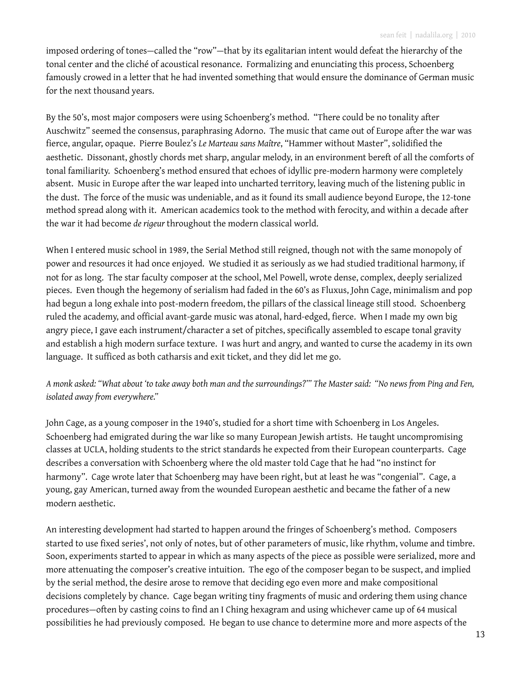imposed ordering of tones—called the "row"—that by its egalitarian intent would defeat the hierarchy of the tonal center and the cliché of acoustical resonance. Formalizing and enunciating this process, Schoenberg famously crowed in a letter that he had invented something that would ensure the dominance of German music for the next thousand years.

By the 50's, most major composers were using Schoenberg's method. "There could be no tonality after Auschwitz" seemed the consensus, paraphrasing Adorno. The music that came out of Europe after the war was fierce, angular, opaque. Pierre Boulez's *Le Marteau sans Maître*, "Hammer without Master", solidified the aesthetic. Dissonant, ghostly chords met sharp, angular melody, in an environment bereft of all the comforts of tonal familiarity. Schoenberg's method ensured that echoes of idyllic pre-modern harmony were completely absent. Music in Europe after the war leaped into uncharted territory, leaving much of the listening public in the dust. The force of the music was undeniable, and as it found its small audience beyond Europe, the 12-tone method spread along with it. American academics took to the method with ferocity, and within a decade after the war it had become *de rigeur* throughout the modern classical world.

When I entered music school in 1989, the Serial Method still reigned, though not with the same monopoly of power and resources it had once enjoyed. We studied it as seriously as we had studied traditional harmony, if not for as long. The star faculty composer at the school, Mel Powell, wrote dense, complex, deeply serialized pieces. Even though the hegemony of serialism had faded in the 60's as Fluxus, John Cage, minimalism and pop had begun a long exhale into post-modern freedom, the pillars of the classical lineage still stood. Schoenberg ruled the academy, and official avant-garde music was atonal, hard-edged, fierce. When I made my own big angry piece, I gave each instrument/character a set of pitches, specifically assembled to escape tonal gravity and establish a high modern surface texture. I was hurt and angry, and wanted to curse the academy in its own language. It sufficed as both catharsis and exit ticket, and they did let me go.

*A monk asked: "What about 'to take away both man and the surroundings?'" The Master said: "No news from Ping and Fen, isolated away from everywhere."*

John Cage, as a young composer in the 1940's, studied for a short time with Schoenberg in Los Angeles. Schoenberg had emigrated during the war like so many European Jewish artists. He taught uncompromising classes at UCLA, holding students to the strict standards he expected from their European counterparts. Cage describes a conversation with Schoenberg where the old master told Cage that he had "no instinct for harmony". Cage wrote later that Schoenberg may have been right, but at least he was "congenial". Cage, a young, gay American, turned away from the wounded European aesthetic and became the father of a new modern aesthetic.

An interesting development had started to happen around the fringes of Schoenberg's method. Composers started to use fixed series', not only of notes, but of other parameters of music, like rhythm, volume and timbre. Soon, experiments started to appear in which as many aspects of the piece as possible were serialized, more and more attenuating the composer's creative intuition. The ego of the composer began to be suspect, and implied by the serial method, the desire arose to remove that deciding ego even more and make compositional decisions completely by chance. Cage began writing tiny fragments of music and ordering them using chance procedures—often by casting coins to find an I Ching hexagram and using whichever came up of 64 musical possibilities he had previously composed. He began to use chance to determine more and more aspects of the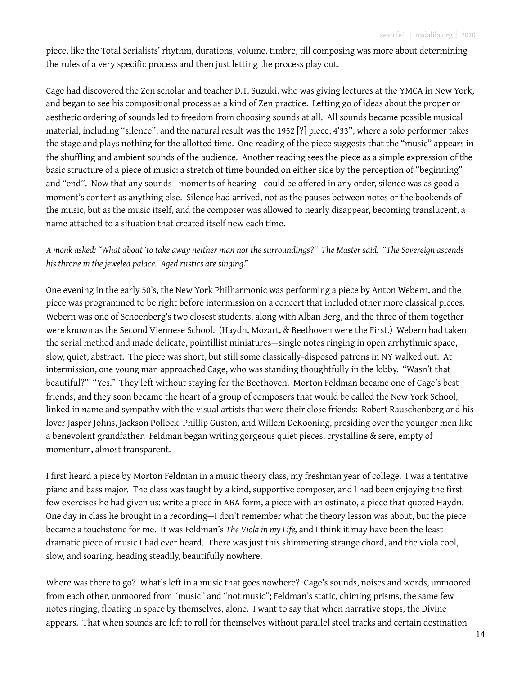piece, like the Total Serialists' rhythm, durations, volume, timbre, till composing was more about determining the rules of a very specific process and then just letting the process play out.

Cage had discovered the Zen scholar and teacher D.T. Suzuki, who was giving lectures at the YMCA in New York, and began to see his compositional process as a kind of Zen practice. Letting go of ideas about the proper or aesthetic ordering of sounds led to freedom from choosing sounds at all. All sounds became possible musical material, including "silence", and the natural result was the 1952 [?] piece, 4'33", where a solo performer takes the stage and plays nothing for the allotted time. One reading of the piece suggests that the "music" appears in the shuffling and ambient sounds of the audience. Another reading sees the piece as a simple expression of the basic structure of a piece of music: a stretch of time bounded on either side by the perception of "beginning" and "end". Now that any sounds—moments of hearing—could be offered in any order, silence was as good a moment's content as anything else. Silence had arrived, not as the pauses between notes or the bookends of the music, but as the music itself, and the composer was allowed to nearly disappear, becoming translucent, a name attached to a situation that created itself new each time.

# *A monk asked: "What about 'to take away neither man nor the surroundings?'" The Master said: "The Sovereign ascends his throne in the jeweled palace. Aged rustics are singing."*

One evening in the early 50's, the New York Philharmonic was performing a piece by Anton Webern, and the piece was programmed to be right before intermission on a concert that included other more classical pieces. Webern was one of Schoenberg's two closest students, along with Alban Berg, and the three of them together were known as the Second Viennese School. (Haydn, Mozart, & Beethoven were the First.) Webern had taken the serial method and made delicate, pointillist miniatures—single notes ringing in open arrhythmic space, slow, quiet, abstract. The piece was short, but still some classically-disposed patrons in NY walked out. At intermission, one young man approached Cage, who was standing thoughtfully in the lobby. "Wasn't that beautiful?" "Yes." They left without staying for the Beethoven. Morton Feldman became one of Cage's best friends, and they soon became the heart of a group of composers that would be called the New York School, linked in name and sympathy with the visual artists that were their close friends: Robert Rauschenberg and his lover Jasper Johns, Jackson Pollock, Phillip Guston, and Willem DeKooning, presiding over the younger men like a benevolent grandfather. Feldman began writing gorgeous quiet pieces, crystalline & sere, empty of momentum, almost transparent.

I first heard a piece by Morton Feldman in a music theory class, my freshman year of college. I was a tentative piano and bass major. The class was taught by a kind, supportive composer, and I had been enjoying the first few exercises he had given us: write a piece in ABA form, a piece with an ostinato, a piece that quoted Haydn. One day in class he brought in a recording—I don't remember what the theory lesson was about, but the piece became a touchstone for me. It was Feldman's *The Viola in my Life,* and I think it may have been the least dramatic piece of music I had ever heard. There was just this shimmering strange chord, and the viola cool, slow, and soaring, heading steadily, beautifully nowhere.

Where was there to go? What's left in a music that goes nowhere? Cage's sounds, noises and words, unmoored from each other, unmoored from "music" and "not music"; Feldman's static, chiming prisms, the same few notes ringing, floating in space by themselves, alone. I want to say that when narrative stops, the Divine appears. That when sounds are left to roll for themselves without parallel steel tracks and certain destination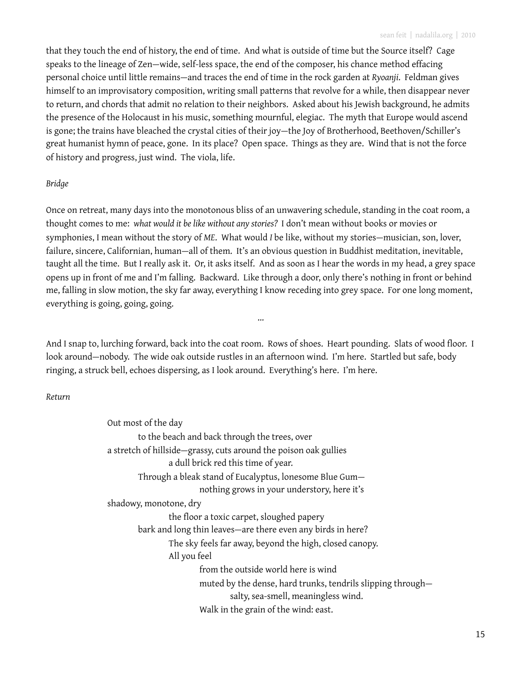that they touch the end of history, the end of time. And what is outside of time but the Source itself? Cage speaks to the lineage of Zen—wide, self-less space, the end of the composer, his chance method effacing personal choice until little remains—and traces the end of time in the rock garden at *Ryoanji*. Feldman gives himself to an improvisatory composition, writing small patterns that revolve for a while, then disappear never to return, and chords that admit no relation to their neighbors. Asked about his Jewish background, he admits the presence of the Holocaust in his music, something mournful, elegiac. The myth that Europe would ascend is gone; the trains have bleached the crystal cities of their joy—the Joy of Brotherhood, Beethoven/Schiller's great humanist hymn of peace, gone. In its place? Open space. Things as they are. Wind that is not the force of history and progress, just wind. The viola, life.

## *Bridge*

Once on retreat, many days into the monotonous bliss of an unwavering schedule, standing in the coat room, a thought comes to me: *what would it be like without any stories?* I don't mean without books or movies or symphonies, I mean without the story of *ME*. What would *I* be like, without my stories—musician, son, lover, failure, sincere, Californian, human—all of them. It's an obvious question in Buddhist meditation, inevitable, taught all the time. But I really ask it. Or, it asks itself. And as soon as I hear the words in my head, a grey space opens up in front of me and I'm falling. Backward. Like through a door, only there's nothing in front or behind me, falling in slow motion, the sky far away, everything I know receding into grey space. For one long moment, everything is going, going, going.

And I snap to, lurching forward, back into the coat room. Rows of shoes. Heart pounding. Slats of wood floor. I look around—nobody. The wide oak outside rustles in an afternoon wind. I'm here. Startled but safe, body ringing, a struck bell, echoes dispersing, as I look around. Everything's here. I'm here.

...

### *Return*

 Out most of the day to the beach and back through the trees, over a stretch of hillside—grassy, cuts around the poison oak gullies a dull brick red this time of year. Through a bleak stand of Eucalyptus, lonesome Blue Gum nothing grows in your understory, here it's shadowy, monotone, dry the floor a toxic carpet, sloughed papery bark and long thin leaves—are there even any birds in here? The sky feels far away, beyond the high, closed canopy. All you feel from the outside world here is wind muted by the dense, hard trunks, tendrils slipping through salty, sea-smell, meaningless wind. Walk in the grain of the wind: east.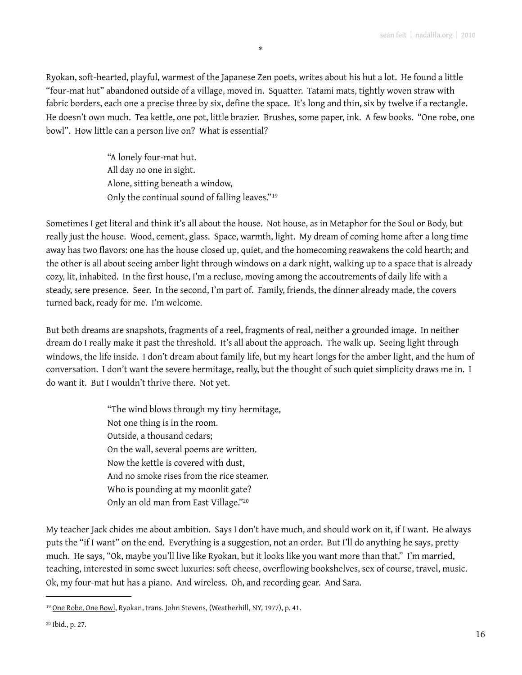Ryokan, soft-hearted, playful, warmest of the Japanese Zen poets, writes about his hut a lot. He found a little "four-mat hut" abandoned outside of a village, moved in. Squatter. Tatami mats, tightly woven straw with fabric borders, each one a precise three by six, define the space. It's long and thin, six by twelve if a rectangle. He doesn't own much. Tea kettle, one pot, little brazier. Brushes, some paper, ink. A few books. "One robe, one bowl". How little can a person live on? What is essential?

\*

"A lonely four-mat hut. All day no one in sight. Alone, sitting beneath a window, Only the continual sound of falling leaves."[19](#page-15-0)

Sometimes I get literal and think it's all about the house. Not house, as in Metaphor for the Soul or Body, but really just the house. Wood, cement, glass. Space, warmth, light. My dream of coming home after a long time away has two flavors: one has the house closed up, quiet, and the homecoming reawakens the cold hearth; and the other is all about seeing amber light through windows on a dark night, walking up to a space that is already cozy, lit, inhabited. In the first house, I'm a recluse, moving among the accoutrements of daily life with a steady, sere presence. Seer. In the second, I'm part of. Family, friends, the dinner already made, the covers turned back, ready for me. I'm welcome.

But both dreams are snapshots, fragments of a reel, fragments of real, neither a grounded image. In neither dream do I really make it past the threshold. It's all about the approach. The walk up. Seeing light through windows, the life inside. I don't dream about family life, but my heart longs for the amber light, and the hum of conversation. I don't want the severe hermitage, really, but the thought of such quiet simplicity draws me in. I do want it. But I wouldn't thrive there. Not yet.

> "The wind blows through my tiny hermitage, Not one thing is in the room. Outside, a thousand cedars; On the wall, several poems are written. Now the kettle is covered with dust, And no smoke rises from the rice steamer. Who is pounding at my moonlit gate? Only an old man from East Village.["20](#page-15-1)

My teacher Jack chides me about ambition. Says I don't have much, and should work on it, if I want. He always puts the "if I want" on the end. Everything is a suggestion, not an order. But I'll do anything he says, pretty much. He says, "Ok, maybe you'll live like Ryokan, but it looks like you want more than that." I'm married, teaching, interested in some sweet luxuries: soft cheese, overflowing bookshelves, sex of course, travel, music. Ok, my four-mat hut has a piano. And wireless. Oh, and recording gear. And Sara.

<span id="page-15-0"></span><sup>&</sup>lt;sup>19</sup> One Robe, One Bowl, Ryokan, trans. John Stevens, (Weatherhill, NY, 1977), p. 41.

<span id="page-15-1"></span><sup>20</sup> Ibid., p. 27.